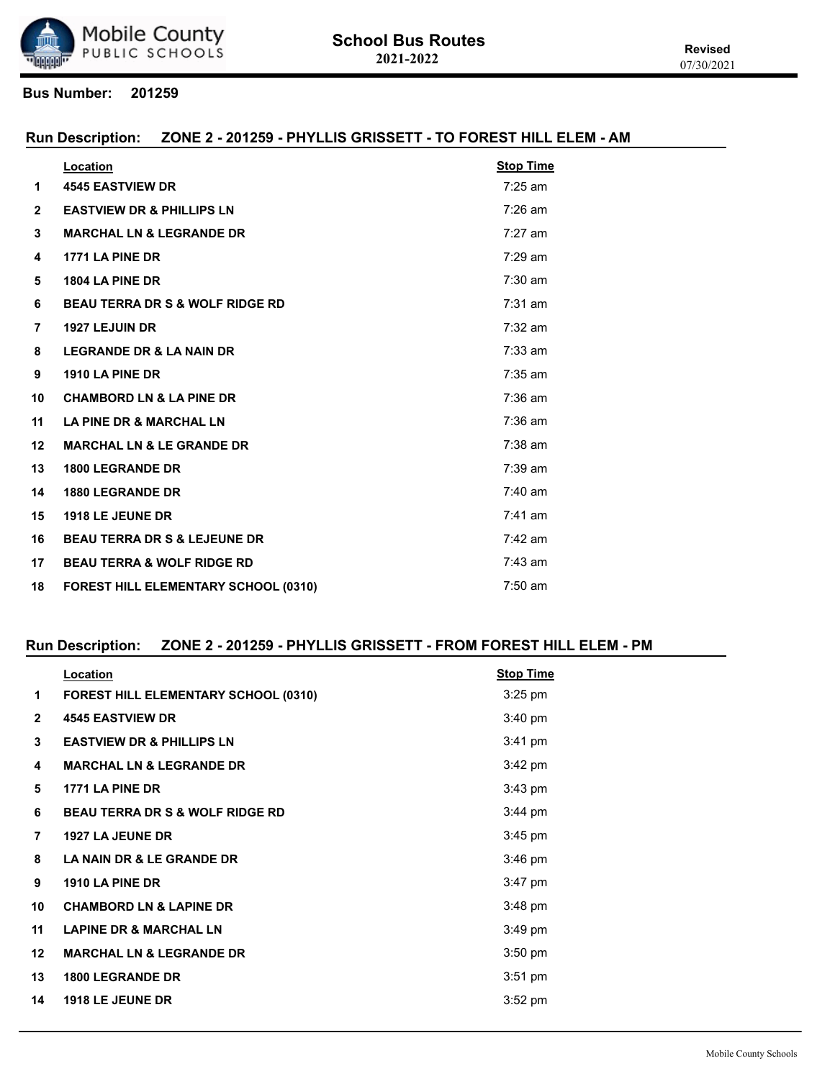

#### **Run Description: ZONE 2 - 201259 - PHYLLIS GRISSETT - TO FOREST HILL ELEM - AM**

|                | Location                                    | <b>Stop Time</b> |
|----------------|---------------------------------------------|------------------|
| 1              | <b>4545 EASTVIEW DR</b>                     | $7:25$ am        |
| $\mathbf{2}$   | <b>EASTVIEW DR &amp; PHILLIPS LN</b>        | $7:26$ am        |
| 3              | <b>MARCHAL LN &amp; LEGRANDE DR</b>         | $7:27$ am        |
| 4              | 1771 LA PINE DR                             | $7:29$ am        |
| 5              | 1804 LA PINE DR                             | $7:30$ am        |
| 6              | <b>BEAU TERRA DR S &amp; WOLF RIDGE RD</b>  | $7:31$ am        |
| $\overline{7}$ | <b>1927 LEJUIN DR</b>                       | $7:32$ am        |
| 8              | <b>LEGRANDE DR &amp; LA NAIN DR</b>         | $7:33$ am        |
| 9              | 1910 LA PINE DR                             | $7:35$ am        |
| 10             | <b>CHAMBORD LN &amp; LA PINE DR</b>         | $7:36$ am        |
| 11             | <b>LA PINE DR &amp; MARCHAL LN</b>          | $7:36$ am        |
| 12             | <b>MARCHAL LN &amp; LE GRANDE DR</b>        | $7:38$ am        |
| 13             | <b>1800 LEGRANDE DR</b>                     | $7:39$ am        |
| 14             | <b>1880 LEGRANDE DR</b>                     | $7:40$ am        |
| 15             | 1918 LE JEUNE DR                            | $7:41$ am        |
| 16             | <b>BEAU TERRA DR S &amp; LEJEUNE DR</b>     | $7:42$ am        |
| 17             | <b>BEAU TERRA &amp; WOLF RIDGE RD</b>       | $7:43$ am        |
| 18             | <b>FOREST HILL ELEMENTARY SCHOOL (0310)</b> | $7:50$ am        |

## **Run Description: ZONE 2 - 201259 - PHYLLIS GRISSETT - FROM FOREST HILL ELEM - PM**

| Location                                   | <b>Stop Time</b>  |
|--------------------------------------------|-------------------|
| FOREST HILL ELEMENTARY SCHOOL (0310)       | $3:25$ pm         |
| <b>4545 EASTVIEW DR</b>                    | $3:40$ pm         |
| <b>EASTVIEW DR &amp; PHILLIPS LN</b>       | 3:41 pm           |
| <b>MARCHAL LN &amp; LEGRANDE DR</b>        | $3:42 \text{ pm}$ |
| 1771 LA PINE DR                            | $3:43$ pm         |
| <b>BEAU TERRA DR S &amp; WOLF RIDGE RD</b> | $3:44$ pm         |
| <b>1927 LA JEUNE DR</b>                    | $3:45$ pm         |
| <b>LA NAIN DR &amp; LE GRANDE DR</b>       | $3:46$ pm         |
| 1910 LA PINE DR                            | $3:47$ pm         |
| <b>CHAMBORD LN &amp; LAPINE DR</b>         | $3:48$ pm         |
| <b>LAPINE DR &amp; MARCHAL LN</b>          | $3:49$ pm         |
| <b>MARCHAL LN &amp; LEGRANDE DR</b>        | 3:50 pm           |
| <b>1800 LEGRANDE DR</b>                    | $3:51$ pm         |
| <b>1918 LE JEUNE DR</b>                    | 3:52 pm           |
|                                            |                   |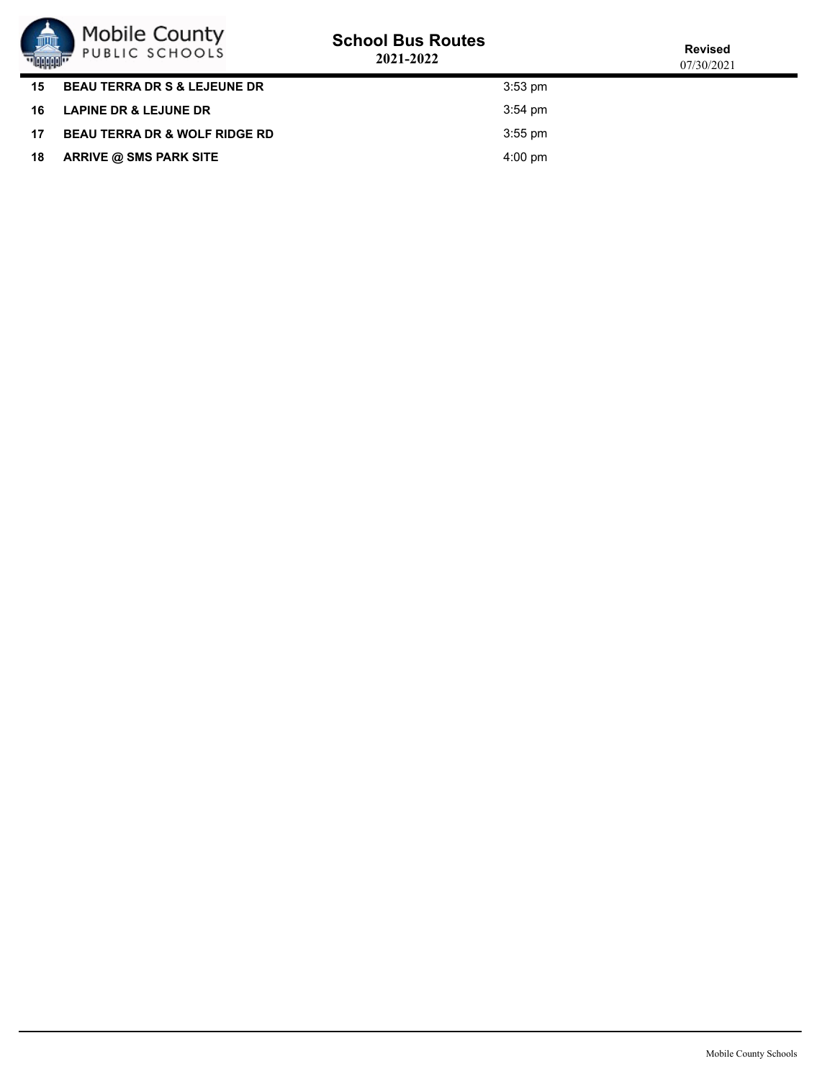

# **School Bus Routes**

| ''Buddali''      |                                          | 2021-2022 |                   |
|------------------|------------------------------------------|-----------|-------------------|
| 15               | <b>BEAU TERRA DR S &amp; LEJEUNE DR</b>  |           | $3:53$ pm         |
|                  | 16 LAPINE DR & LEJUNE DR                 |           | $3:54 \text{ pm}$ |
| 17 <sup>17</sup> | <b>BEAU TERRA DR &amp; WOLF RIDGE RD</b> |           | $3:55$ pm         |
|                  | 18 ARRIVE @ SMS PARK SITE                |           | $4:00 \text{ pm}$ |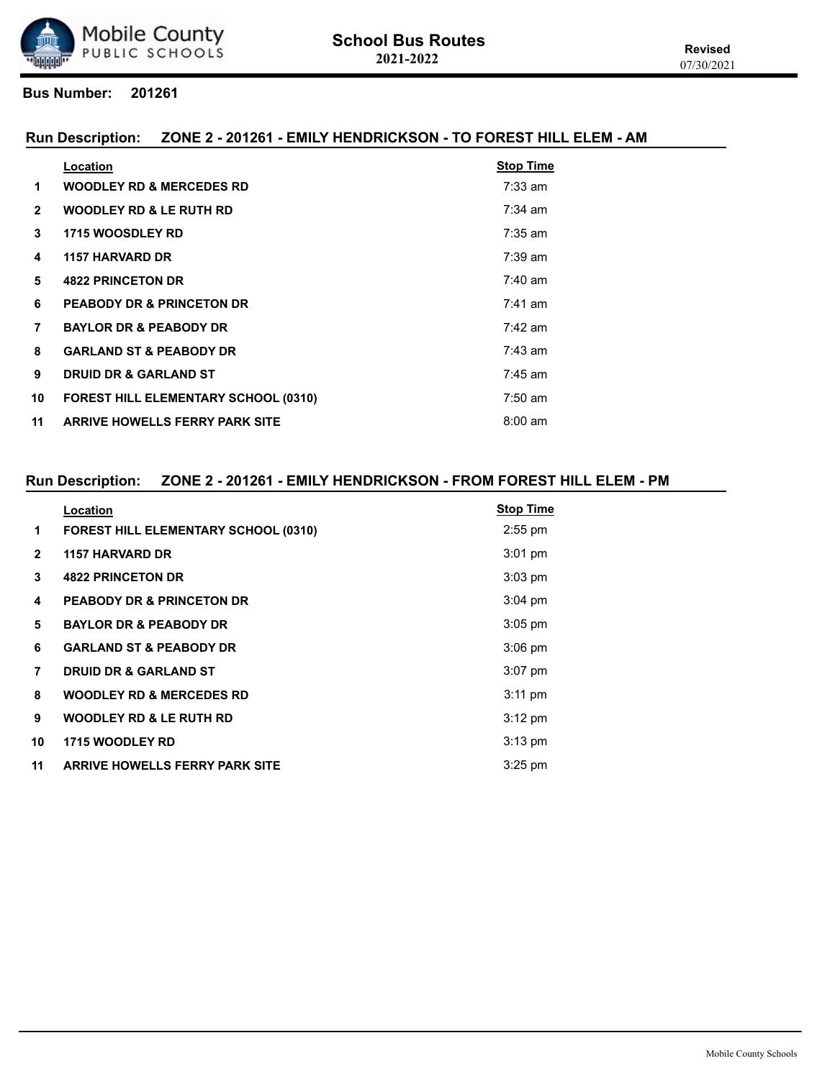

#### **Run Description: ZONE 2 - 201261 - EMILY HENDRICKSON - TO FOREST HILL ELEM - AM**

|              | Location                                    | <b>Stop Time</b>  |
|--------------|---------------------------------------------|-------------------|
| 1            | <b>WOODLEY RD &amp; MERCEDES RD</b>         | $7:33$ am         |
| $\mathbf{2}$ | <b>WOODLEY RD &amp; LE RUTH RD</b>          | $7:34$ am         |
| 3            | <b>1715 WOOSDLEY RD</b>                     | $7:35$ am         |
| 4            | <b>1157 HARVARD DR</b>                      | $7:39$ am         |
| 5            | <b>4822 PRINCETON DR</b>                    | $7:40 \text{ am}$ |
| 6            | <b>PEABODY DR &amp; PRINCETON DR</b>        | $7:41$ am         |
| 7            | <b>BAYLOR DR &amp; PEABODY DR</b>           | $7:42$ am         |
| 8            | <b>GARLAND ST &amp; PEABODY DR</b>          | $7:43$ am         |
| 9            | <b>DRUID DR &amp; GARLAND ST</b>            | $7:45$ am         |
| 10           | <b>FOREST HILL ELEMENTARY SCHOOL (0310)</b> | $7:50 \text{ am}$ |
| 11           | <b>ARRIVE HOWELLS FERRY PARK SITE</b>       | $8:00 \text{ am}$ |
|              |                                             |                   |

## **Run Description: ZONE 2 - 201261 - EMILY HENDRICKSON - FROM FOREST HILL ELEM - PM**

|              | Location                              | <b>Stop Time</b>  |
|--------------|---------------------------------------|-------------------|
| 1            | FOREST HILL ELEMENTARY SCHOOL (0310)  | $2:55$ pm         |
| $\mathbf{2}$ | <b>1157 HARVARD DR</b>                | $3:01$ pm         |
| 3            | <b>4822 PRINCETON DR</b>              | $3:03$ pm         |
| 4            | <b>PEABODY DR &amp; PRINCETON DR</b>  | $3:04$ pm         |
| 5            | <b>BAYLOR DR &amp; PEABODY DR</b>     | $3:05$ pm         |
| 6            | <b>GARLAND ST &amp; PEABODY DR</b>    | $3:06$ pm         |
| 7            | <b>DRUID DR &amp; GARLAND ST</b>      | $3:07$ pm         |
| 8            | <b>WOODLEY RD &amp; MERCEDES RD</b>   | $3:11 \text{ pm}$ |
| 9            | <b>WOODLEY RD &amp; LE RUTH RD</b>    | $3:12 \text{ pm}$ |
| 10           | <b>1715 WOODLEY RD</b>                | $3:13$ pm         |
| 11           | <b>ARRIVE HOWELLS FERRY PARK SITE</b> | $3:25$ pm         |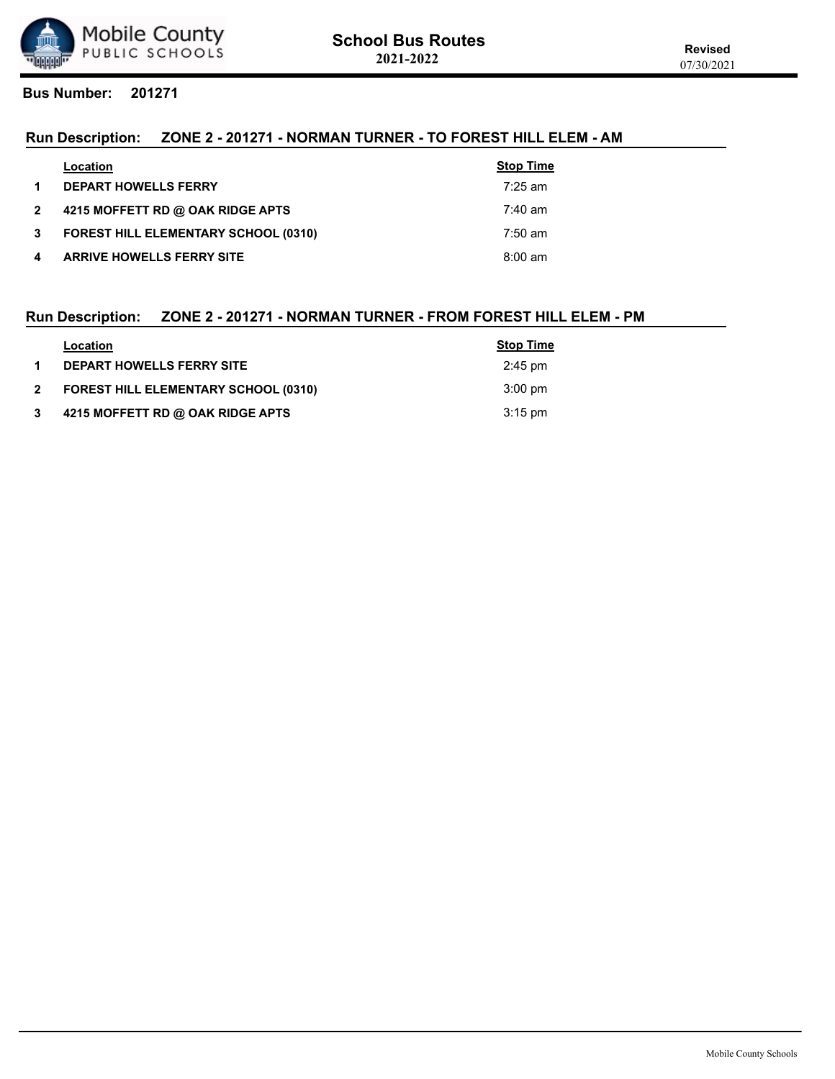

# **Run Description: ZONE 2 - 201271 - NORMAN TURNER - TO FOREST HILL ELEM - AM**

|                | Location                                    | <b>Stop Time</b>  |
|----------------|---------------------------------------------|-------------------|
| $\mathbf 1$    | <b>DEPART HOWELLS FERRY</b>                 | $7:25$ am         |
| $\overline{2}$ | 4215 MOFFETT RD @ OAK RIDGE APTS            | $7:40 \text{ am}$ |
| $3^{\circ}$    | <b>FOREST HILL ELEMENTARY SCHOOL (0310)</b> | $7:50 \text{ am}$ |
| 4              | <b>ARRIVE HOWELLS FERRY SITE</b>            | $8:00 \text{ am}$ |

#### **Run Description: ZONE 2 - 201271 - NORMAN TURNER - FROM FOREST HILL ELEM - PM**

|              | Location                                    | <b>Stop Time</b>  |
|--------------|---------------------------------------------|-------------------|
|              | <b>DEPART HOWELLS FERRY SITE</b>            | $2:45 \text{ pm}$ |
| $\mathbf{2}$ | <b>FOREST HILL ELEMENTARY SCHOOL (0310)</b> | $3:00 \text{ pm}$ |
|              | 4215 MOFFETT RD @ OAK RIDGE APTS            | $3:15$ pm         |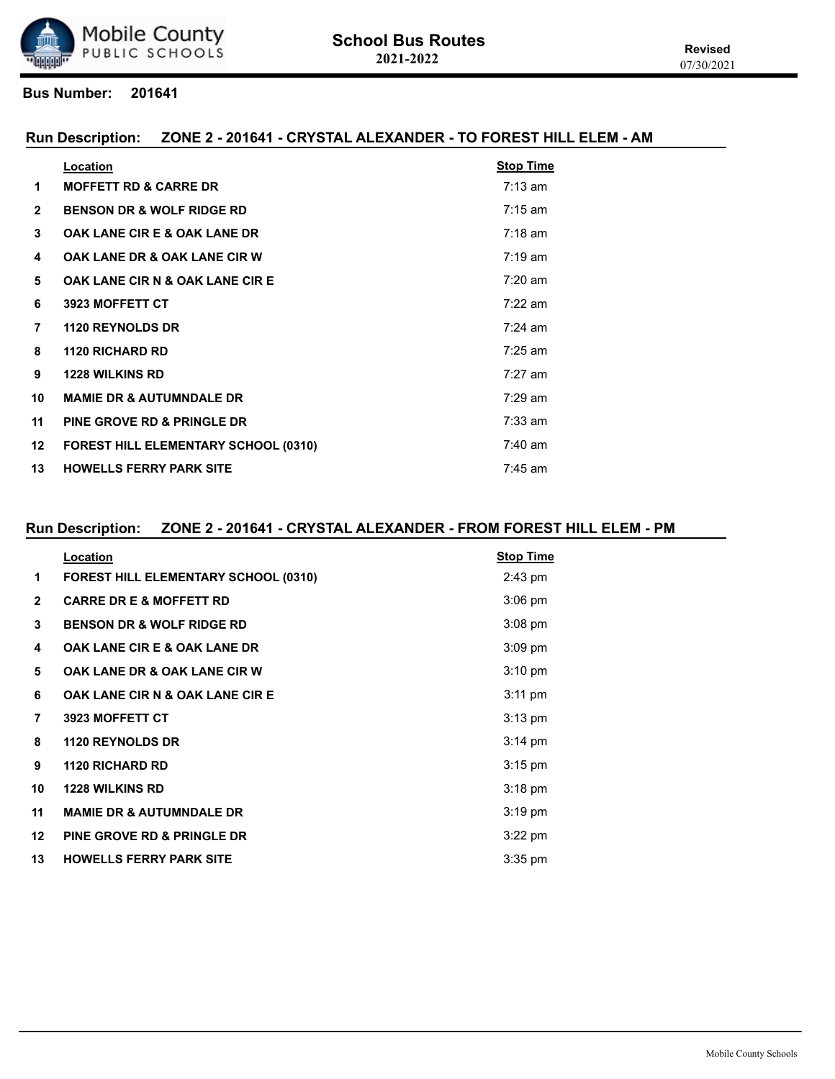

#### **Run Description: ZONE 2 - 201641 - CRYSTAL ALEXANDER - TO FOREST HILL ELEM - AM**

|                  | Location                                    | <b>Stop Time</b>  |
|------------------|---------------------------------------------|-------------------|
| 1                | <b>MOFFETT RD &amp; CARRE DR</b>            | $7:13 \text{ am}$ |
| $\overline{2}$   | <b>BENSON DR &amp; WOLF RIDGE RD</b>        | $7:15 \text{ am}$ |
| 3                | <b>OAK LANE CIR E &amp; OAK LANE DR</b>     | $7:18$ am         |
| 4                | <b>OAK LANE DR &amp; OAK LANE CIR W</b>     | $7:19 \text{ am}$ |
| 5                | OAK LANE CIR N & OAK LANE CIR E             | $7:20$ am         |
| 6                | 3923 MOFFETT CT                             | $7:22$ am         |
| $\overline{7}$   | <b>1120 REYNOLDS DR</b>                     | $7:24$ am         |
| 8                | <b>1120 RICHARD RD</b>                      | $7:25$ am         |
| 9                | <b>1228 WILKINS RD</b>                      | $7:27$ am         |
| 10               | <b>MAMIE DR &amp; AUTUMNDALE DR</b>         | $7:29$ am         |
| 11               | PINE GROVE RD & PRINGLE DR                  | $7:33$ am         |
| 12 <sup>12</sup> | <b>FOREST HILL ELEMENTARY SCHOOL (0310)</b> | $7:40$ am         |
| 13               | <b>HOWELLS FERRY PARK SITE</b>              | $7:45$ am         |

## **Run Description: ZONE 2 - 201641 - CRYSTAL ALEXANDER - FROM FOREST HILL ELEM - PM**

|                | Location                                    | <b>Stop Time</b>  |
|----------------|---------------------------------------------|-------------------|
| 1              | <b>FOREST HILL ELEMENTARY SCHOOL (0310)</b> | 2:43 pm           |
| $\overline{2}$ | <b>CARRE DR E &amp; MOFFETT RD</b>          | $3:06$ pm         |
| 3              | <b>BENSON DR &amp; WOLF RIDGE RD</b>        | $3:08$ pm         |
| 4              | <b>OAK LANE CIR E &amp; OAK LANE DR</b>     | $3:09$ pm         |
| 5              | <b>OAK LANE DR &amp; OAK LANE CIR W</b>     | $3:10 \text{ pm}$ |
| 6              | <b>OAK LANE CIR N &amp; OAK LANE CIR E</b>  | $3:11 \text{ pm}$ |
| 7              | 3923 MOFFETT CT                             | $3:13$ pm         |
| 8              | <b>1120 REYNOLDS DR</b>                     | $3:14 \text{ pm}$ |
| 9              | <b>1120 RICHARD RD</b>                      | $3:15$ pm         |
| 10             | <b>1228 WILKINS RD</b>                      | $3:18$ pm         |
| 11             | <b>MAMIE DR &amp; AUTUMNDALE DR</b>         | $3:19$ pm         |
| $12 \,$        | <b>PINE GROVE RD &amp; PRINGLE DR</b>       | $3:22$ pm         |
| 13             | <b>HOWELLS FERRY PARK SITE</b>              | $3:35$ pm         |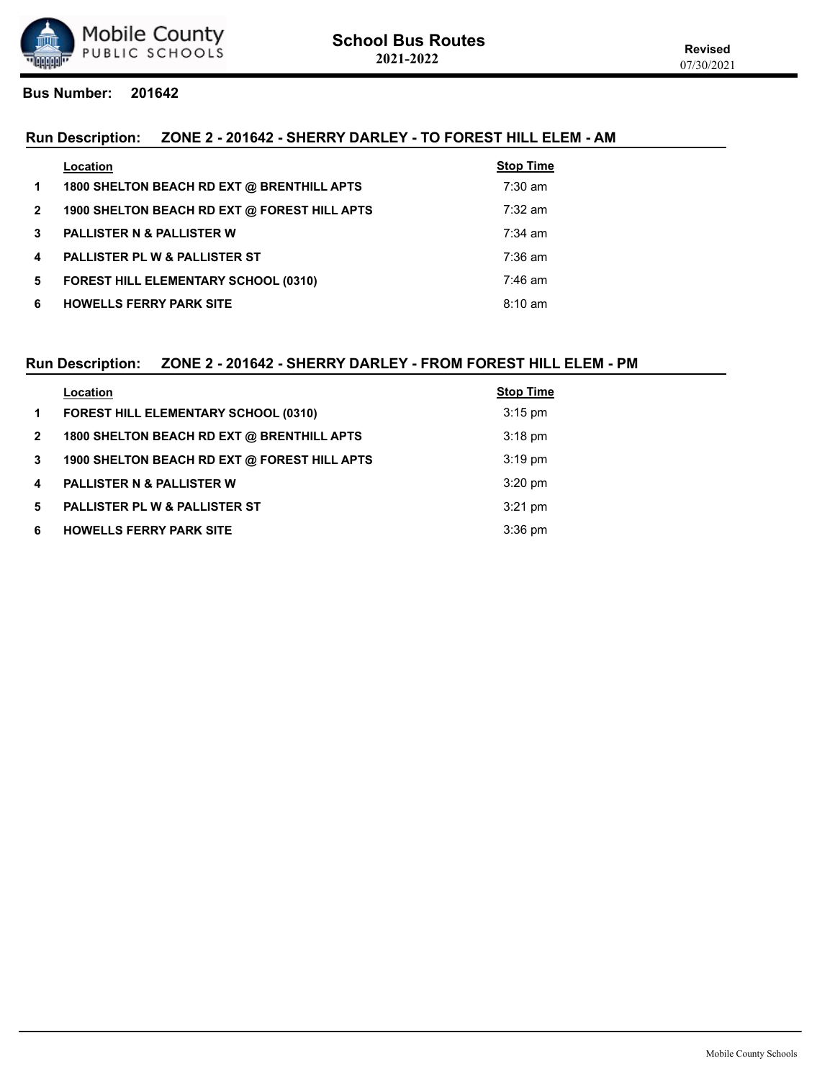

# **Run Description: ZONE 2 - 201642 - SHERRY DARLEY - TO FOREST HILL ELEM - AM**

|                | Location                                     | <b>Stop Time</b>  |
|----------------|----------------------------------------------|-------------------|
| $\mathbf 1$    | 1800 SHELTON BEACH RD EXT @ BRENTHILL APTS   | $7:30$ am         |
| $\overline{2}$ | 1900 SHELTON BEACH RD EXT @ FOREST HILL APTS | $7:32 \text{ am}$ |
| $\mathbf{3}$   | <b>PALLISTER N &amp; PALLISTER W</b>         | $7:34$ am         |
| 4              | <b>PALLISTER PL W &amp; PALLISTER ST</b>     | $7:36 \text{ am}$ |
| 5.             | <b>FOREST HILL ELEMENTARY SCHOOL (0310)</b>  | $7:46$ am         |
| 6              | <b>HOWELLS FERRY PARK SITE</b>               | $8:10 \text{ am}$ |

## **Run Description: ZONE 2 - 201642 - SHERRY DARLEY - FROM FOREST HILL ELEM - PM**

|                | Location                                     | <b>Stop Time</b> |
|----------------|----------------------------------------------|------------------|
| $\mathbf 1$    | <b>FOREST HILL ELEMENTARY SCHOOL (0310)</b>  | $3:15$ pm        |
| $\overline{2}$ | 1800 SHELTON BEACH RD EXT @ BRENTHILL APTS   | $3:18$ pm        |
| $\mathbf{3}$   | 1900 SHELTON BEACH RD EXT @ FOREST HILL APTS | $3:19$ pm        |
| 4              | <b>PALLISTER N &amp; PALLISTER W</b>         | $3:20$ pm        |
| 5.             | PALLISTER PL W & PALLISTER ST                | $3:21$ pm        |
| 6              | <b>HOWELLS FERRY PARK SITE</b>               | $3:36$ pm        |